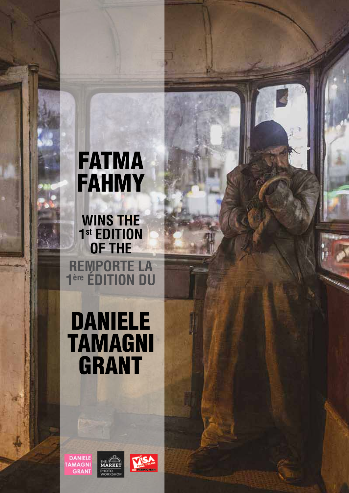# FATMA FAHMY

**WINS THE 1st EDITION OF THE REMPORTE LA 1ère ÉDITION DU**

# DANIELE TAMAGNI GRANT

**DANIELE TAMAGNI GRANT** 

**MARKET MARKEI**<br>PHOTO<br>WORKSHOP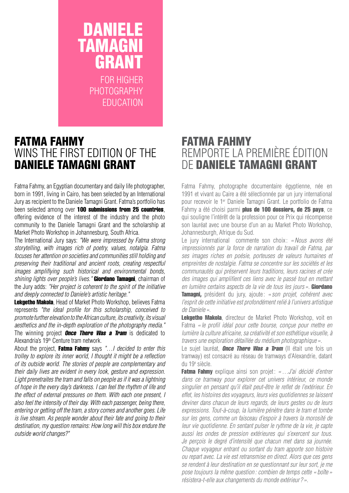### DANIELE TAMAGNI GRANT FOR HIGHER

PHOTOGRAPHY EDUCATION

### FATMA FAHMY WINS THE FIRST EDITION OF THE DANIELE TAMAGNI GRANT

Fatma Fahmy, an Egyptian documentary and daily life photographer, born in 1991, living in Cairo, has been selected by an International Jury as recipient to the Daniele Tamagni Grant. Fatma's portfolio has been selected among over 100 submissions from 25 countries, offering evidence of the interest of the industry and the photo community to the Daniele Tamagni Grant and the scholarship at Market Photo Workshop in Johannesburg, South Africa.

The International Jury says: *"We were impressed by Fatma strong storytelling, with images rich of poetry, values, notalgia. Fatma focuses her attention on societies and communities still holding and preserving their traditional and ancient roots, creating respectful images ampliflying such historical and environmental bonds, shining lights over people's lives."* Giordano Tamagni, chairman of the Jury adds: *"Her project is coherent to the spirit of the initiative and deeply connected to Daniele's artistic heritage."*

Lekgetho Makola, Head of Market Photo Workshop, believes Fatma represents *"the ideal profile for this scholarship, conceived to promote further elevation to the African culture, its creativity, its visual aesthetics and the in-depth exploration of the photography media."* The winning project **Once There Was a Tram** is dedicated to Alexandria's 19th Centure tram network.

About the project, Fatma Fahmy says *"…I decided to enter this trolley to explore its inner world, I thought it might be a reflection of its outside world. The stories of people are complementary and their daily lives are evident in every look, gesture and expression. Light prenetraites the tram and falls on people as if it was a lightning of hope in the every day's darkness. I can feel the rhythm of life and the effect of external pressures on them. With each one present, I also feel the intensity of their day. With each passenger, being there, entering or getting off the tram, a story comes and another goes. Life is live stream. As people wonder about their fate and going to their destination, my question remains: How long will this box endure the outside world changes?"*

### FATMA FAHMY REMPORTE LA PREMIERE EDITION DE DANIELE TAMAGNI GRANT

Fatma Fahmy, photographe documentaire égyptienne, née en 1991 et vivant au Caire a été sélectionnée par un jury international pour recevoir le 1er Daniele Tamagni Grant. Le portfolio de Fatma Fahmy a été choisi parmi plus de 100 dossiers, de 25 pays, ce qui souligne l'intérêt de la profession pour ce Prix qui récompense son lauréat avec une bourse d'un an au Market Photo Workshop, Johannesburgh, Afrique du Sud.

Le jury international commente son choix: *«Nous avons été impressionnés par la force de narration du travail de Fatma, par ses images riches en poésie, porteuses de valeurs humaines et empreintes de nostalgie. Fatma se concentre sur les sociétés et les communautés qui préservent leurs traditions, leurs racines et crée des images qui amplifient ces liens avec le passé tout en mettant en lumière certains aspects de la vie de tous les jours »*. Giordano Tamagni, président du jury, ajoute: *« son projet, cohérent avec l'esprit de cette initiative est profondément relié à l'univers artistique de Daniele»*.

Lekgetho Makola, directeur de Market Photo Workshop, voit en Fatma *« le profil idéal pour cette bourse, conçue pour mettre en lumière la culture africaine, sa créativité et son esthétique visuelle, à travers une exploration détaillée du médium photographique»*.

Le sujet lauréat, **Once There Was a Tram** (Il était une fois un tramway) est consacré au réseau de tramways d'Alexandrie, datant du 19e siècle.

Fatma Fahmy explique ainsi son projet: «...J'ai décidé d'entrer *dans ce tramway pour explorer cet univers intérieur, ce monde singulier en pensant qu'il était peut-être le reflet de l'extérieur. En effet, les histoires des voyageurs, leurs vies quotidiennes se laissent deviner dans chacun de leurs regards, de leurs gestes ou de leurs expressions. Tout-à-coup, la lumière pénètre dans le tram et tombe sur les gens, comme un faisceau d'espoir à travers la morosité de leur vie quotidienne. En sentant pulser le rythme de la vie, je capte aussi les ondes de pression extérieures qui s'exercent sur tous. Je perçois le degré d'intensité que chacun met dans sa journée. Chaque voyageur entrant ou sortant du tram apporte son histoire ou repart avec. La vie est retransmise en direct. Alors que ces gens se rendent à leur destination en se questionnant sur leur sort, je me pose toujours la même question : combien de temps cette «boîte » résistera-t-elle aux changements du monde extérieur?».*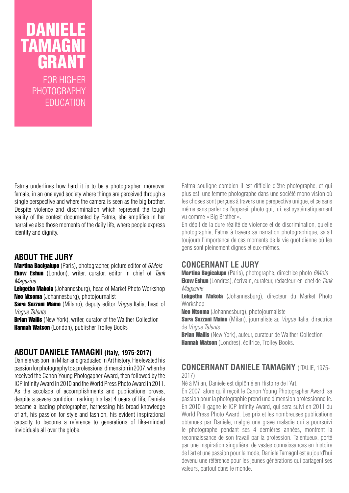## DANIELE TAMAGNI GRANT FOR HIGHER

PHOTOGRAPHY EDUCATION

Fatma underlines how hard it is to be a photographer, moreover female, in an one eyed society where things are perceived through a single perspective and where the camera is seen as the big brother. Despite violence and discrimination which represent the tough reality of the contest documented by Fatma, she amplifies in her narrative also those moments of the daily life, where people express identity and dignity.

#### **ABOUT THE JURY**

Martina Bacigalupo (Paris), photographer, picture editor of *6Mois* Ekow Eshun (London), writer, curator, editor in chief of *Tank Magazine*

Lekgetho Makola (Johannesburg), head of Market Photo Workshop Neo Ntsoma (Johannesburg), photojournalist

Sara Sozzani Maino (Milano), deputy editor *Vogue* Italia, head of *Vogue Talents*

**Brian Wallis** (New York), writer, curator of the Walther Collection Hannah Watson (London), publisher Trolley Books

#### **ABOUT DANIELE TAMAGNI (Italy, 1975-2017)**

Daniele vas born in Milan and graduated in Art history. He elevated his passion for photography to a professional dimension in 2007, when he received the Canon Young Photogapher Award, then followed by the ICP Infinity Award in 2010 and the World Press Photo Award in 2011. As the accolade of accomplishments and publications proves, despite a severe contidion marking his last 4 uears of life, Daniele became a leading photographer, harnessing his broad knowledge of art, his passion for style and fashion, his evident inspirational capacity to become a reference to generations of like-minded invididuals all over the globe.

Fatma souligne combien il est difficile d'être photographe, et qui plus est, une femme photographe dans une société mono vision où les choses sont perçues à travers une perspective unique, et ce sans même sans parler de l'appareil photo qui, lui, est systématiquement vu comme «Big Brother ».

En dépit de la dure réalité de violence et de discrimination, qu'elle photographie, Fatma à travers sa narration photographique, saisit toujours l'importance de ces moments de la vie quotidienne où les gens sont pleinement dignes et eux-mêmes.

#### **Concernant le Jury**

Martina Bagicalupo (Paris), photographe, directrice photo *6Mois* Ekow Eshun (Londres), écrivain, curateur, rédacteur-en-chef de *Tank Magazine*

Lekgetho Makola (Johannesburg), directeur du Market Photo Workshop

Neo Ntsoma (Johannesburg), photojournaliste

Sara Sozzani Maino (Milan), journaliste au *Vogue* Italia, directrice de *Vogue Talents*

**Brian Wallis** (New York), auteur, curateur de Walther Collection Hannah Watson (Londres), éditrice, Trolley Books.

#### **Concernant Daniele Tamagny** (Italie, 1975- 2017)

Né à Milan, Daniele est diplômé en Histoire de l'Art.

En 2007, alors qu'il reçoit le Canon Young Photographer Award, sa passion pour la photographie prend une dimension professionnelle. En 2010 il gagne le ICP Infinity Award, qui sera suivi en 2011 du World Press Photo Award. Les prix et les nombreuses publications obtenues par Daniele, malgré une grave maladie qui a poursuivi le photographe pendant ses 4 dernières années, montrent la reconnaissance de son travail par la profession. Talentueux, porté par une inspiration singulière, de vastes connaissances en histoire de l'art et une passion pour la mode, Daniele TamagnI est aujourd'hui devenu une référence pour les jeunes générations qui partagent ses valeurs, partout dans le monde.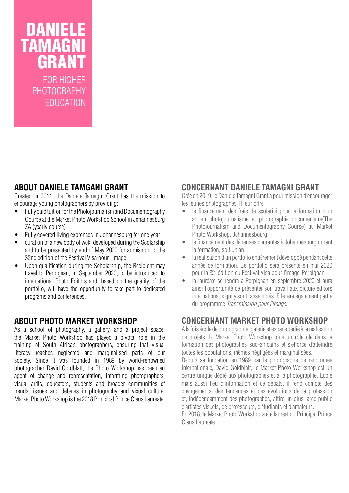## DANIELE TAMAGNI GRANT

FOR HIGHER PHOTOGRAPHY **EDUCATION** 

#### **ABOUT DANIELE TAMGANI GRANT**

Created in 2011, the Daniele Tamagni Grant has the mission to encourage young photographers by providing:

- Fully paid tuition for the Photojournalism and Documentography Course at the Market Photo Workshop School in Johannesburg ZA (yearly course)
- Fully covered living exprenses in Johannesburg for one year
- curation of a new body of wok, developed during the Scolarship and to be presented by end of May 2020 for admission to the 32nd edition of the Festival Visa pour l'Image
- Upon qualification during the Scholarship, the Recipient may travel to Perpignan, in September 2020, to be introduced to international Photo Editors and, based on the quality of the portfolio, will have the opportunity to take part to dedicated programs and conferences.

#### **ABOUT PHOTO MARKET WORKSHOP**

As a school of photography, a gallery, and a project space, the Market Photo Workshop has played a pivotal role in the training of South Africa's photographers, ensuring that visual literacy reaches neglected and marginalised parts of our society. Since it was founded in 1989 by world-renowned photographer David Goldblatt, the Photo Workshop has been an agent of change and representation, informing photographers, visual artits, educators, students and broader communities of trends, issues and debates in photography and visual culture. Market Photo Workshop is the 2018 Principal Prince Claus Laureate.

#### **Concernant Daniele Tamagni GRANT**

Créé en 2019, le Daniele Tamagni Grant a pour mission d'encourager les jeunes photographes. Il leur offre:

- le financement des frais de scolarité pour la formation d'un an en photojournalisme et photographie documentaire(The Photojournalism and Documentography Course) au Market Photo Workshop, Johannesbourg
- le financement des dépenses courantes à Johannesburg durant la formation, soit un an
- • la réalisation d'un portfolio entièrement développé pendant cette année de formation. Ce portfolio sera présenté en mai 2020 pour la 32e édition du Festival Visa pour l'Image-Perpignan
- la lauréate se rendra à Perpignan en septembre 2020 et aura ainsi l'opportunité de présenter son travail aux picture editors internationaux qui y sont rassemblés. Elle fera également partie du programme *Transmission pour l'image*.

#### **Concernant Market Photo Workshop**

A la fois école de photographie, galerie et espace dédié à la réalisation de projets, le Market Photo Workshop joue un rôle clé dans la formation des photographes sud-africains et s'efforce d'atteindre toutes les populations, mêmes négligées et marginalisées.

Depuis sa fondation en 1989 par le photographe de renommée internationale, David Goldblatt, le Market Photo Workshop est un centre unique dédié aux photographes et à la photographie. Ecole mais aussi lieu d'information et de débats, il rend compte des changements, des tendances et des évolutions de la profession et, indépendamment des photographes, attire un plus large public d'artistes visuels, de professeurs, d'étudiants et d'amateurs.

En 2018, le Market Photo Workshop a été lauréat du Principal Prince Claus Laureate.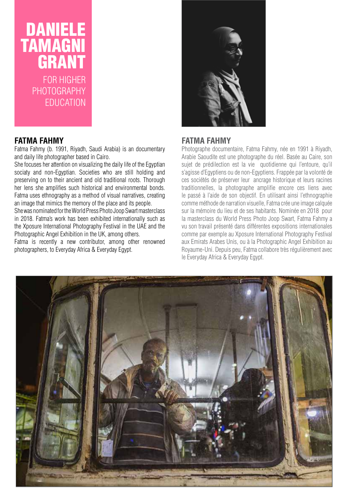### DANIELE TAMAGNI GRANT FOR HIGHER PHOTOGRAPHY EDUCATION

#### **FATMA FAHMY**

Fatma Fahmy (b. 1991, Riyadh, Saudi Arabia) is an documentary and daily life photographer based in Cairo.

She focuses her attention on visualizing the daily life of the Egyptian sociaty and non-Egyptian. Societies who are still holding and preserving on to their ancient and old traditional roots. Thorough her lens she amplifies such historical and environmental bonds. Fatma uses ethnography as a method of visual narratives, creating an image that mimics the memory of the place and its people.

She was nominated for the World Press Photo Joop Swart masterclass in 2018. Fatma's work has been exhibited internationally such as the Xposure International Photography Festival in the UAE and the Photographic Angel Exhibition in the UK, among others.

Fatma is recently a new contributor, among other renowned photographers, to Everyday Africa & Everyday Egypt.



#### **FATMA FAHMY**

Photographe documentaire, Fatma Fahmy, née en 1991 à Riyadh, Arabie Saoudite est une photographe du réel. Basée au Caire, son sujet de prédilection est la vie quotidienne qui l'entoure, qu'il s'agisse d'Egyptiens ou de non-Egyptiens. Frappée par la volonté de ces sociétés de préserver leur ancrage historique et leurs racines traditionnelles, la photographe amplifie encore ces liens avec le passé à l'aide de son objectif. En utilisant ainsi l'ethnographie comme méthode de narration visuelle, Fatma crée une image calquée sur la mémoire du lieu et de ses habitants. Nominée en 2018 pour la masterclass du World Press Photo Joop Swart, Fatma Fahmy a vu son travail présenté dans différentes expositions internationales comme par exemple au Xposure International Photography Festival aux Emirats Arabes Unis, ou à la Photographic Angel Exhibition au Royaume-Uni. Depuis peu, Fatma collabore très régulièrement avec le Everyday Africa & Everyday Egypt.

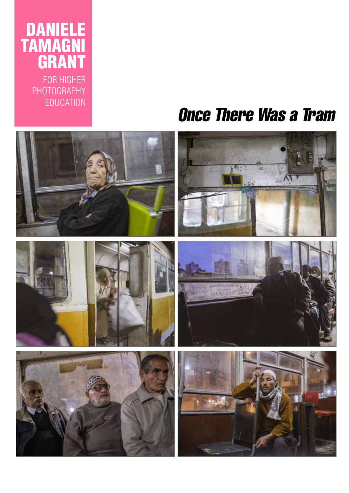## DANIELE TAMAGNI GR

FOR HIGHER PHOTOGRAPHY EDUCATION

# Once There Was a Tram